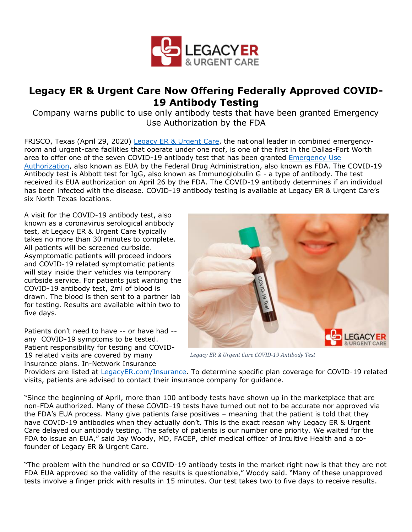

## **Legacy ER & Urgent Care Now Offering Federally Approved COVID-19 Antibody Testing**

Company warns public to use only antibody tests that have been granted Emergency Use Authorization by the FDA

FRISCO, Texas (April 29, 2020) [Legacy ER & Urgent Care,](https://bit.ly/35cKZC0) the national leader in combined emergencyroom and urgent-care facilities that operate under one roof, is one of the first in the Dallas-Fort Worth area to offer one of the seven COVID-19 antibody test that has been granted [Emergency Use](https://www.fda.gov/medical-devices/emergency-situations-medical-devices/emergency-use-authorizations)  [Authorization,](https://www.fda.gov/medical-devices/emergency-situations-medical-devices/emergency-use-authorizations) also known as EUA by the Federal Drug Administration, also known as FDA. The COVID-19 Antibody test is Abbott test for IgG, also known as Immunoglobulin G - a type of antibody. The test received its EUA authorization on April 26 by the FDA. The COVID-19 antibody determines if an individual has been infected with the disease. COVID-19 antibody testing is available at Legacy ER & Urgent Care's six North Texas locations.

A visit for the COVID-19 antibody test, also known as a coronavirus serological antibody test, at Legacy ER & Urgent Care typically takes no more than 30 minutes to complete. All patients will be screened curbside. Asymptomatic patients will proceed indoors and COVID-19 related symptomatic patients will stay inside their vehicles via temporary curbside service. For patients just wanting the COVID-19 antibody test, 2ml of blood is drawn. The blood is then sent to a partner lab for testing. Results are available within two to five days.

Patients don't need to have -- or have had - any COVID-19 symptoms to be tested. Patient responsibility for testing and COVID-19 related visits are covered by many insurance plans. In-Network Insurance



*Legacy ER & Urgent Care COVID-19 Antibody Test*

Providers are listed at [LegacyER.com/Insurance.](https://bit.ly/3bNQtpD) To determine specific plan coverage for COVID-19 related visits, patients are advised to contact their insurance company for guidance.

"Since the beginning of April, more than 100 antibody tests have shown up in the marketplace that are non-FDA authorized. Many of these COVID-19 tests have turned out not to be accurate nor approved via the FDA's EUA process. Many give patients false positives – meaning that the patient is told that they have COVID-19 antibodies when they actually don't. This is the exact reason why Legacy ER & Urgent Care delayed our antibody testing. The safety of patients is our number one priority. We waited for the FDA to issue an EUA," said Jay Woody, MD, FACEP, chief medical officer of Intuitive Health and a cofounder of Legacy ER & Urgent Care.

"The problem with the hundred or so COVID-19 antibody tests in the market right now is that they are not FDA EUA approved so the validity of the results is questionable," Woody said. "Many of these unapproved tests involve a finger prick with results in 15 minutes. Our test takes two to five days to receive results.